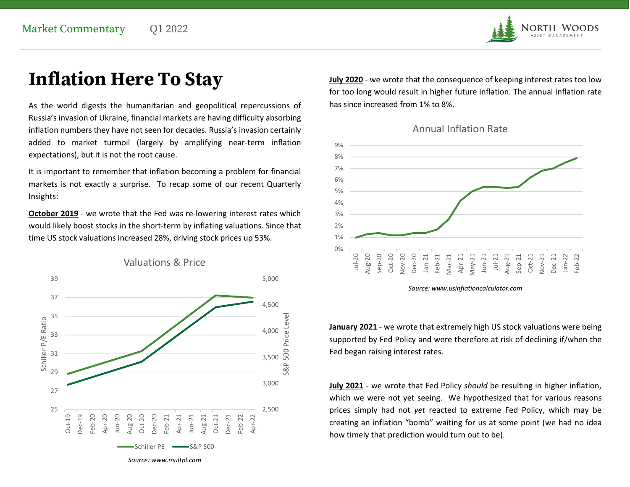

## Inflation Here To Stay

As the world digests the humanitarian and geopolitical repercussions of Russia's invasion of Ukraine, financial markets are having difficulty absorbing inflation numbers they have not seen for decades. Russia's invasion certainly added to market turmoil (largely by amplifying near-term inflation expectations), but it is not the root cause.

It is important to remember that inflation becoming a problem for financial markets is not exactly a surprise. To recap some of our recent Quarterly Insights:

October 2019 - we wrote that the Fed was re-lowering interest rates which would likely boost stocks in the short-term by inflating valuations. Since that time US stock valuations increased 28%, driving stock prices up 53%.



July 2020 - we wrote that the consequence of keeping interest rates too low for too long would result in higher future inflation. The annual inflation rate has since increased from 1% to 8%.





Source: www.usinflationcalculator.com

 $_{4,000}$   $_{\odot}^{\omega}$   $\qquad$   $\qquad$   $\qquad$   $\qquad$   $\qquad$   $\qquad$   $\qquad$   $\qquad$   $\qquad$   $\qquad$   $\qquad$   $\qquad$   $\qquad$   $\qquad$   $\qquad$   $\qquad$   $\qquad$   $\qquad$   $\qquad$   $\qquad$   $\qquad$   $\qquad$   $\qquad$   $\qquad$   $\qquad$   $\qquad$   $\qquad$   $\qquad$   $\qquad$   $\qquad$   $\qquad$   $\qquad$   $\qquad$  supported by Fed Policy and were therefore at risk of declining if/when the 3,500 S<br>3,500 S

3,000 **July 2021** - we wrote that Fed Policy should be resulting in higher inflation, which we were not yet seeing. We hypothesized that for various reasons 2,500 **prices simply had not yet reacted to extreme Fed Policy, which may be** creating an inflation "bomb" waiting for us at some point (we had no idea how timely that prediction would turn out to be).